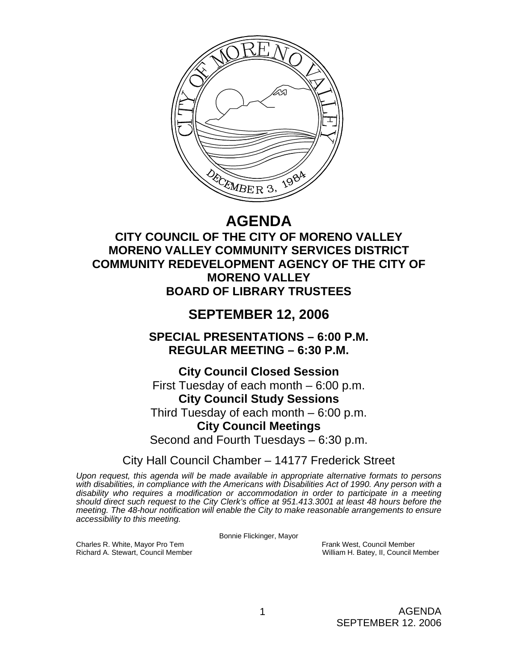

# **AGENDA**

# **CITY COUNCIL OF THE CITY OF MORENO VALLEY MORENO VALLEY COMMUNITY SERVICES DISTRICT COMMUNITY REDEVELOPMENT AGENCY OF THE CITY OF MORENO VALLEY BOARD OF LIBRARY TRUSTEES**

# **SEPTEMBER 12, 2006**

**SPECIAL PRESENTATIONS – 6:00 P.M. REGULAR MEETING – 6:30 P.M.** 

**City Council Closed Session**  First Tuesday of each month – 6:00 p.m. **City Council Study Sessions**  Third Tuesday of each month – 6:00 p.m. **City Council Meetings** 

Second and Fourth Tuesdays – 6:30 p.m.

City Hall Council Chamber – 14177 Frederick Street

*Upon request, this agenda will be made available in appropriate alternative formats to persons*  with disabilities, in compliance with the Americans with Disabilities Act of 1990. Any person with a *disability who requires a modification or accommodation in order to participate in a meeting should direct such request to the City Clerk's office at 951.413.3001 at least 48 hours before the meeting. The 48-hour notification will enable the City to make reasonable arrangements to ensure accessibility to this meeting.* 

Bonnie Flickinger, Mayor

William H. Batey, II, Council Member

AGENDA SEPTEMBER 12. 2006

Charles R. White, Mayor Pro Tem Frank West, Council Member Frank West, Council Member Frank West, Council Member<br>Richard A. Stewart, Council Member Frank West, II, Council N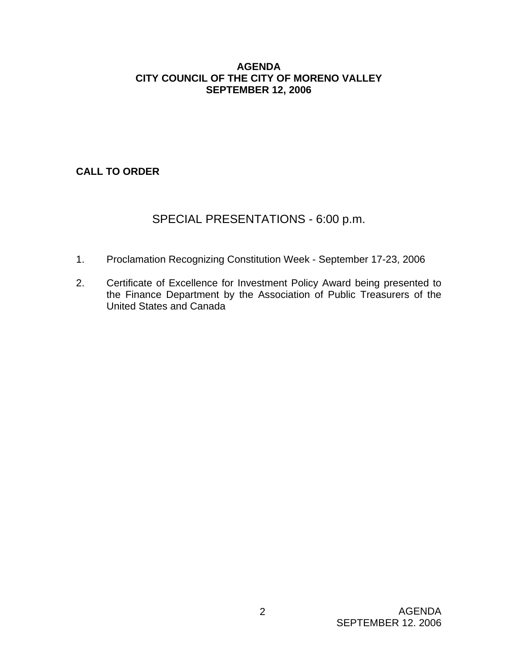### **AGENDA CITY COUNCIL OF THE CITY OF MORENO VALLEY SEPTEMBER 12, 2006**

# **CALL TO ORDER**

# SPECIAL PRESENTATIONS - 6:00 p.m.

- 1. Proclamation Recognizing Constitution Week September 17-23, 2006
- 2. Certificate of Excellence for Investment Policy Award being presented to the Finance Department by the Association of Public Treasurers of the United States and Canada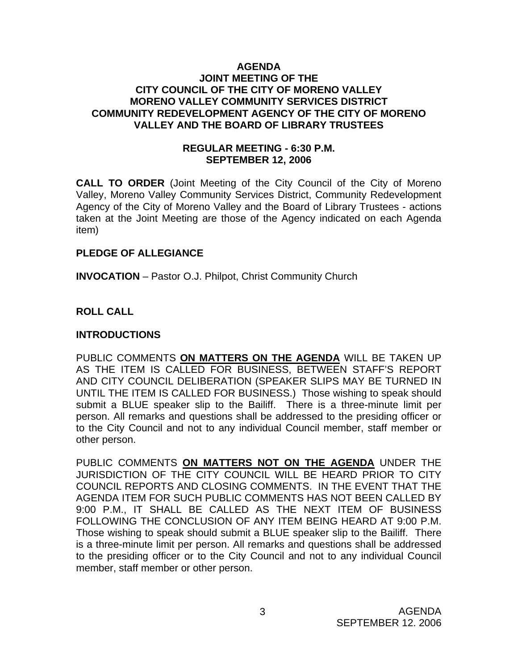#### **AGENDA JOINT MEETING OF THE CITY COUNCIL OF THE CITY OF MORENO VALLEY MORENO VALLEY COMMUNITY SERVICES DISTRICT COMMUNITY REDEVELOPMENT AGENCY OF THE CITY OF MORENO VALLEY AND THE BOARD OF LIBRARY TRUSTEES**

### **REGULAR MEETING - 6:30 P.M. SEPTEMBER 12, 2006**

**CALL TO ORDER** (Joint Meeting of the City Council of the City of Moreno Valley, Moreno Valley Community Services District, Community Redevelopment Agency of the City of Moreno Valley and the Board of Library Trustees - actions taken at the Joint Meeting are those of the Agency indicated on each Agenda item)

### **PLEDGE OF ALLEGIANCE**

**INVOCATION** – Pastor O.J. Philpot, Christ Community Church

## **ROLL CALL**

## **INTRODUCTIONS**

PUBLIC COMMENTS **ON MATTERS ON THE AGENDA** WILL BE TAKEN UP AS THE ITEM IS CALLED FOR BUSINESS, BETWEEN STAFF'S REPORT AND CITY COUNCIL DELIBERATION (SPEAKER SLIPS MAY BE TURNED IN UNTIL THE ITEM IS CALLED FOR BUSINESS.) Those wishing to speak should submit a BLUE speaker slip to the Bailiff. There is a three-minute limit per person. All remarks and questions shall be addressed to the presiding officer or to the City Council and not to any individual Council member, staff member or other person.

PUBLIC COMMENTS **ON MATTERS NOT ON THE AGENDA** UNDER THE JURISDICTION OF THE CITY COUNCIL WILL BE HEARD PRIOR TO CITY COUNCIL REPORTS AND CLOSING COMMENTS. IN THE EVENT THAT THE AGENDA ITEM FOR SUCH PUBLIC COMMENTS HAS NOT BEEN CALLED BY 9:00 P.M., IT SHALL BE CALLED AS THE NEXT ITEM OF BUSINESS FOLLOWING THE CONCLUSION OF ANY ITEM BEING HEARD AT 9:00 P.M. Those wishing to speak should submit a BLUE speaker slip to the Bailiff. There is a three-minute limit per person. All remarks and questions shall be addressed to the presiding officer or to the City Council and not to any individual Council member, staff member or other person.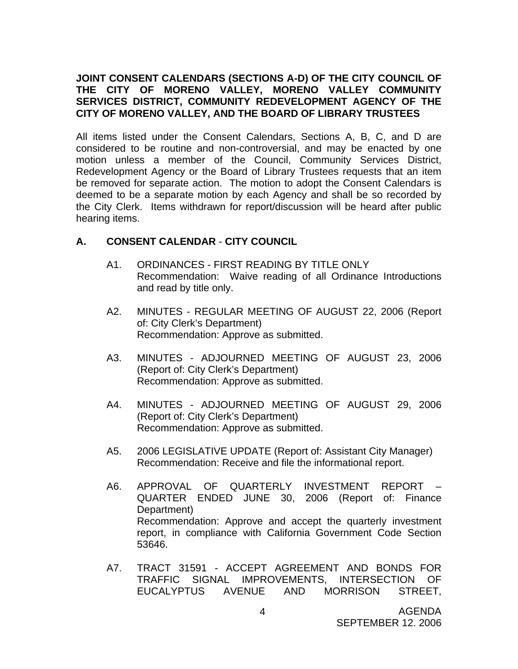### **JOINT CONSENT CALENDARS (SECTIONS A-D) OF THE CITY COUNCIL OF THE CITY OF MORENO VALLEY, MORENO VALLEY COMMUNITY SERVICES DISTRICT, COMMUNITY REDEVELOPMENT AGENCY OF THE CITY OF MORENO VALLEY, AND THE BOARD OF LIBRARY TRUSTEES**

All items listed under the Consent Calendars, Sections A, B, C, and D are considered to be routine and non-controversial, and may be enacted by one motion unless a member of the Council, Community Services District, Redevelopment Agency or the Board of Library Trustees requests that an item be removed for separate action. The motion to adopt the Consent Calendars is deemed to be a separate motion by each Agency and shall be so recorded by the City Clerk. Items withdrawn for report/discussion will be heard after public hearing items.

## **A. CONSENT CALENDAR** - **CITY COUNCIL**

- A1. ORDINANCES FIRST READING BY TITLE ONLY Recommendation: Waive reading of all Ordinance Introductions and read by title only.
- A2. MINUTES REGULAR MEETING OF AUGUST 22, 2006 (Report of: City Clerk's Department) Recommendation: Approve as submitted.
- A3. MINUTES ADJOURNED MEETING OF AUGUST 23, 2006 (Report of: City Clerk's Department) Recommendation: Approve as submitted.
- A4. MINUTES ADJOURNED MEETING OF AUGUST 29, 2006 (Report of: City Clerk's Department) Recommendation: Approve as submitted.
- A5. 2006 LEGISLATIVE UPDATE (Report of: Assistant City Manager) Recommendation: Receive and file the informational report.
- A6. APPROVAL OF QUARTERLY INVESTMENT REPORT QUARTER ENDED JUNE 30, 2006 (Report of: Finance Department) Recommendation: Approve and accept the quarterly investment report, in compliance with California Government Code Section 53646.
- A7. TRACT 31591 ACCEPT AGREEMENT AND BONDS FOR TRAFFIC SIGNAL IMPROVEMENTS, INTERSECTION OF EUCALYPTUS AVENUE AND MORRISON STREET,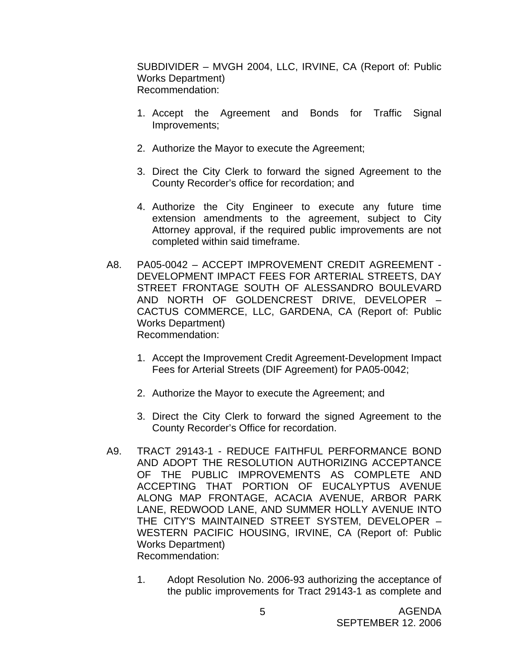SUBDIVIDER – MVGH 2004, LLC, IRVINE, CA (Report of: Public Works Department) Recommendation:

- 1. Accept the Agreement and Bonds for Traffic Signal Improvements;
- 2. Authorize the Mayor to execute the Agreement;
- 3. Direct the City Clerk to forward the signed Agreement to the County Recorder's office for recordation; and
- 4. Authorize the City Engineer to execute any future time extension amendments to the agreement, subject to City Attorney approval, if the required public improvements are not completed within said timeframe.
- A8. PA05-0042 ACCEPT IMPROVEMENT CREDIT AGREEMENT DEVELOPMENT IMPACT FEES FOR ARTERIAL STREETS, DAY STREET FRONTAGE SOUTH OF ALESSANDRO BOULEVARD AND NORTH OF GOLDENCREST DRIVE, DEVELOPER – CACTUS COMMERCE, LLC, GARDENA, CA (Report of: Public Works Department) Recommendation:
	- 1. Accept the Improvement Credit Agreement-Development Impact Fees for Arterial Streets (DIF Agreement) for PA05-0042;
	- 2. Authorize the Mayor to execute the Agreement; and
	- 3. Direct the City Clerk to forward the signed Agreement to the County Recorder's Office for recordation.
- A9. TRACT 29143-1 REDUCE FAITHFUL PERFORMANCE BOND AND ADOPT THE RESOLUTION AUTHORIZING ACCEPTANCE OF THE PUBLIC IMPROVEMENTS AS COMPLETE AND ACCEPTING THAT PORTION OF EUCALYPTUS AVENUE ALONG MAP FRONTAGE, ACACIA AVENUE, ARBOR PARK LANE, REDWOOD LANE, AND SUMMER HOLLY AVENUE INTO THE CITY'S MAINTAINED STREET SYSTEM, DEVELOPER – WESTERN PACIFIC HOUSING, IRVINE, CA (Report of: Public Works Department) Recommendation:
	- 1. Adopt Resolution No. 2006-93 authorizing the acceptance of the public improvements for Tract 29143-1 as complete and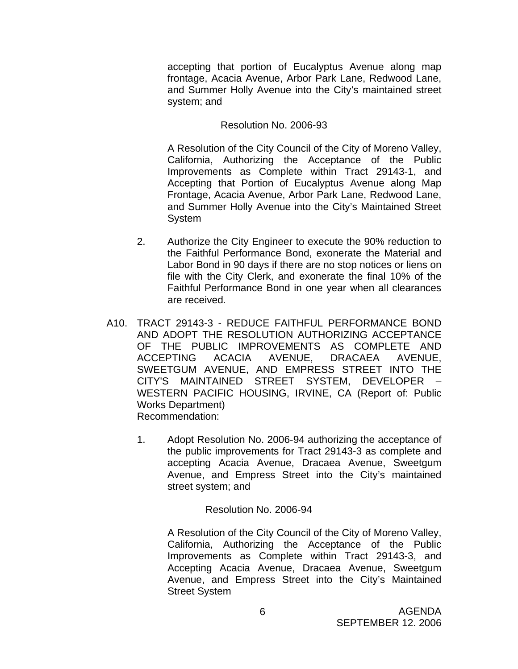accepting that portion of Eucalyptus Avenue along map frontage, Acacia Avenue, Arbor Park Lane, Redwood Lane, and Summer Holly Avenue into the City's maintained street system; and

### Resolution No. 2006-93

A Resolution of the City Council of the City of Moreno Valley, California, Authorizing the Acceptance of the Public Improvements as Complete within Tract 29143-1, and Accepting that Portion of Eucalyptus Avenue along Map Frontage, Acacia Avenue, Arbor Park Lane, Redwood Lane, and Summer Holly Avenue into the City's Maintained Street System

- 2. Authorize the City Engineer to execute the 90% reduction to the Faithful Performance Bond, exonerate the Material and Labor Bond in 90 days if there are no stop notices or liens on file with the City Clerk, and exonerate the final 10% of the Faithful Performance Bond in one year when all clearances are received.
- A10. TRACT 29143-3 REDUCE FAITHFUL PERFORMANCE BOND AND ADOPT THE RESOLUTION AUTHORIZING ACCEPTANCE OF THE PUBLIC IMPROVEMENTS AS COMPLETE AND ACCEPTING ACACIA AVENUE, DRACAEA AVENUE, SWEETGUM AVENUE, AND EMPRESS STREET INTO THE CITY'S MAINTAINED STREET SYSTEM, DEVELOPER – WESTERN PACIFIC HOUSING, IRVINE, CA (Report of: Public Works Department) Recommendation:
	- 1. Adopt Resolution No. 2006-94 authorizing the acceptance of the public improvements for Tract 29143-3 as complete and accepting Acacia Avenue, Dracaea Avenue, Sweetgum Avenue, and Empress Street into the City's maintained street system; and

### Resolution No. 2006-94

A Resolution of the City Council of the City of Moreno Valley, California, Authorizing the Acceptance of the Public Improvements as Complete within Tract 29143-3, and Accepting Acacia Avenue, Dracaea Avenue, Sweetgum Avenue, and Empress Street into the City's Maintained Street System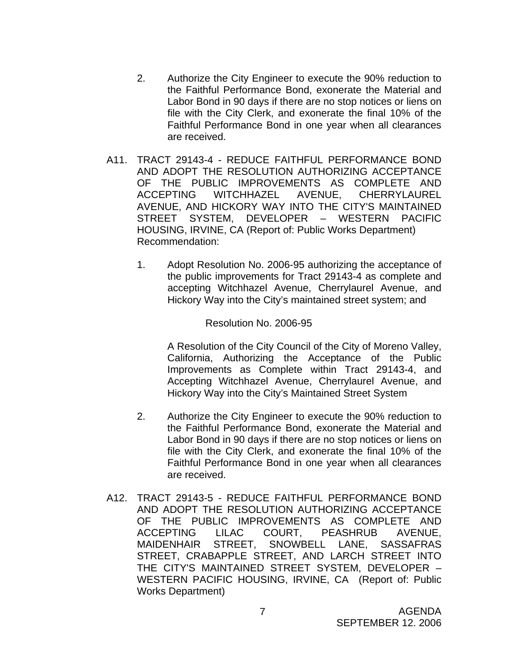- 2. Authorize the City Engineer to execute the 90% reduction to the Faithful Performance Bond, exonerate the Material and Labor Bond in 90 days if there are no stop notices or liens on file with the City Clerk, and exonerate the final 10% of the Faithful Performance Bond in one year when all clearances are received.
- A11. TRACT 29143-4 REDUCE FAITHFUL PERFORMANCE BOND AND ADOPT THE RESOLUTION AUTHORIZING ACCEPTANCE OF THE PUBLIC IMPROVEMENTS AS COMPLETE AND ACCEPTING WITCHHAZEL AVENUE, CHERRYLAUREL AVENUE, AND HICKORY WAY INTO THE CITY'S MAINTAINED STREET SYSTEM, DEVELOPER – WESTERN PACIFIC HOUSING, IRVINE, CA (Report of: Public Works Department) Recommendation:
	- 1. Adopt Resolution No. 2006-95 authorizing the acceptance of the public improvements for Tract 29143-4 as complete and accepting Witchhazel Avenue, Cherrylaurel Avenue, and Hickory Way into the City's maintained street system; and

#### Resolution No. 2006-95

A Resolution of the City Council of the City of Moreno Valley, California, Authorizing the Acceptance of the Public Improvements as Complete within Tract 29143-4, and Accepting Witchhazel Avenue, Cherrylaurel Avenue, and Hickory Way into the City's Maintained Street System

- 2. Authorize the City Engineer to execute the 90% reduction to the Faithful Performance Bond, exonerate the Material and Labor Bond in 90 days if there are no stop notices or liens on file with the City Clerk, and exonerate the final 10% of the Faithful Performance Bond in one year when all clearances are received.
- A12. TRACT 29143-5 REDUCE FAITHFUL PERFORMANCE BOND AND ADOPT THE RESOLUTION AUTHORIZING ACCEPTANCE OF THE PUBLIC IMPROVEMENTS AS COMPLETE AND ACCEPTING LILAC COURT, PEASHRUB AVENUE, MAIDENHAIR STREET, SNOWBELL LANE, SASSAFRAS STREET, CRABAPPLE STREET, AND LARCH STREET INTO THE CITY'S MAINTAINED STREET SYSTEM, DEVELOPER – WESTERN PACIFIC HOUSING, IRVINE, CA (Report of: Public Works Department)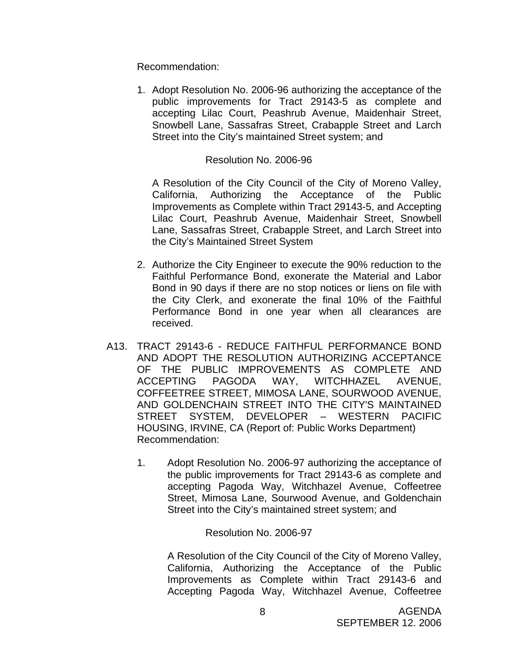Recommendation:

1. Adopt Resolution No. 2006-96 authorizing the acceptance of the public improvements for Tract 29143-5 as complete and accepting Lilac Court, Peashrub Avenue, Maidenhair Street, Snowbell Lane, Sassafras Street, Crabapple Street and Larch Street into the City's maintained Street system; and

#### Resolution No. 2006-96

A Resolution of the City Council of the City of Moreno Valley, California, Authorizing the Acceptance of the Public Improvements as Complete within Tract 29143-5, and Accepting Lilac Court, Peashrub Avenue, Maidenhair Street, Snowbell Lane, Sassafras Street, Crabapple Street, and Larch Street into the City's Maintained Street System

- 2. Authorize the City Engineer to execute the 90% reduction to the Faithful Performance Bond, exonerate the Material and Labor Bond in 90 days if there are no stop notices or liens on file with the City Clerk, and exonerate the final 10% of the Faithful Performance Bond in one year when all clearances are received.
- A13. TRACT 29143-6 REDUCE FAITHFUL PERFORMANCE BOND AND ADOPT THE RESOLUTION AUTHORIZING ACCEPTANCE OF THE PUBLIC IMPROVEMENTS AS COMPLETE AND ACCEPTING PAGODA WAY, WITCHHAZEL AVENUE, COFFEETREE STREET, MIMOSA LANE, SOURWOOD AVENUE, AND GOLDENCHAIN STREET INTO THE CITY'S MAINTAINED STREET SYSTEM, DEVELOPER – WESTERN PACIFIC HOUSING, IRVINE, CA (Report of: Public Works Department) Recommendation:
	- 1. Adopt Resolution No. 2006-97 authorizing the acceptance of the public improvements for Tract 29143-6 as complete and accepting Pagoda Way, Witchhazel Avenue, Coffeetree Street, Mimosa Lane, Sourwood Avenue, and Goldenchain Street into the City's maintained street system; and

Resolution No. 2006-97

A Resolution of the City Council of the City of Moreno Valley, California, Authorizing the Acceptance of the Public Improvements as Complete within Tract 29143-6 and Accepting Pagoda Way, Witchhazel Avenue, Coffeetree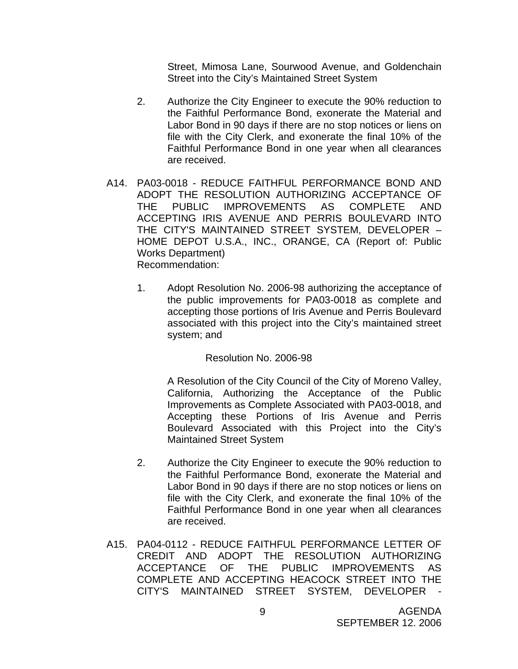Street, Mimosa Lane, Sourwood Avenue, and Goldenchain Street into the City's Maintained Street System

- 2. Authorize the City Engineer to execute the 90% reduction to the Faithful Performance Bond, exonerate the Material and Labor Bond in 90 days if there are no stop notices or liens on file with the City Clerk, and exonerate the final 10% of the Faithful Performance Bond in one year when all clearances are received.
- A14. PA03-0018 REDUCE FAITHFUL PERFORMANCE BOND AND ADOPT THE RESOLUTION AUTHORIZING ACCEPTANCE OF THE PUBLIC IMPROVEMENTS AS COMPLETE AND ACCEPTING IRIS AVENUE AND PERRIS BOULEVARD INTO THE CITY'S MAINTAINED STREET SYSTEM, DEVELOPER – HOME DEPOT U.S.A., INC., ORANGE, CA (Report of: Public Works Department) Recommendation:
	- 1. Adopt Resolution No. 2006-98 authorizing the acceptance of the public improvements for PA03-0018 as complete and accepting those portions of Iris Avenue and Perris Boulevard associated with this project into the City's maintained street system; and

Resolution No. 2006-98

A Resolution of the City Council of the City of Moreno Valley, California, Authorizing the Acceptance of the Public Improvements as Complete Associated with PA03-0018, and Accepting these Portions of Iris Avenue and Perris Boulevard Associated with this Project into the City's Maintained Street System

- 2. Authorize the City Engineer to execute the 90% reduction to the Faithful Performance Bond, exonerate the Material and Labor Bond in 90 days if there are no stop notices or liens on file with the City Clerk, and exonerate the final 10% of the Faithful Performance Bond in one year when all clearances are received.
- A15. PA04-0112 REDUCE FAITHFUL PERFORMANCE LETTER OF CREDIT AND ADOPT THE RESOLUTION AUTHORIZING ACCEPTANCE OF THE PUBLIC IMPROVEMENTS AS COMPLETE AND ACCEPTING HEACOCK STREET INTO THE CITY'S MAINTAINED STREET SYSTEM, DEVELOPER -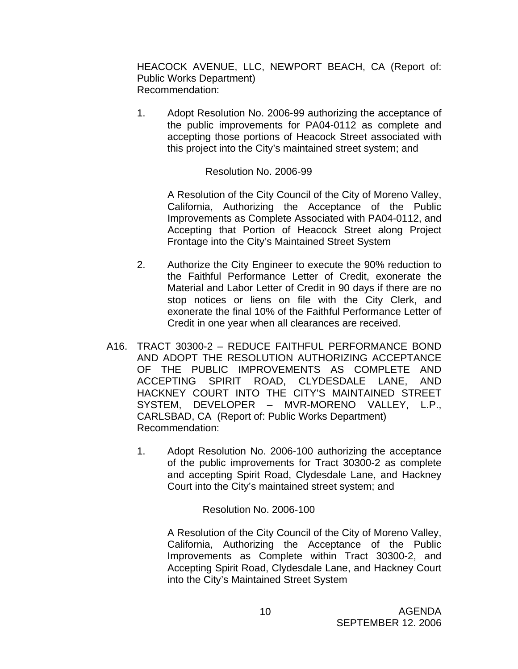HEACOCK AVENUE, LLC, NEWPORT BEACH, CA (Report of: Public Works Department) Recommendation:

1. Adopt Resolution No. 2006-99 authorizing the acceptance of the public improvements for PA04-0112 as complete and accepting those portions of Heacock Street associated with this project into the City's maintained street system; and

### Resolution No. 2006-99

A Resolution of the City Council of the City of Moreno Valley, California, Authorizing the Acceptance of the Public Improvements as Complete Associated with PA04-0112, and Accepting that Portion of Heacock Street along Project Frontage into the City's Maintained Street System

- 2. Authorize the City Engineer to execute the 90% reduction to the Faithful Performance Letter of Credit, exonerate the Material and Labor Letter of Credit in 90 days if there are no stop notices or liens on file with the City Clerk, and exonerate the final 10% of the Faithful Performance Letter of Credit in one year when all clearances are received.
- A16. TRACT 30300-2 REDUCE FAITHFUL PERFORMANCE BOND AND ADOPT THE RESOLUTION AUTHORIZING ACCEPTANCE OF THE PUBLIC IMPROVEMENTS AS COMPLETE AND ACCEPTING SPIRIT ROAD, CLYDESDALE LANE, AND HACKNEY COURT INTO THE CITY'S MAINTAINED STREET SYSTEM, DEVELOPER – MVR-MORENO VALLEY, L.P., CARLSBAD, CA (Report of: Public Works Department) Recommendation:
	- 1. Adopt Resolution No. 2006-100 authorizing the acceptance of the public improvements for Tract 30300-2 as complete and accepting Spirit Road, Clydesdale Lane, and Hackney Court into the City's maintained street system; and

### Resolution No. 2006-100

A Resolution of the City Council of the City of Moreno Valley, California, Authorizing the Acceptance of the Public Improvements as Complete within Tract 30300-2, and Accepting Spirit Road, Clydesdale Lane, and Hackney Court into the City's Maintained Street System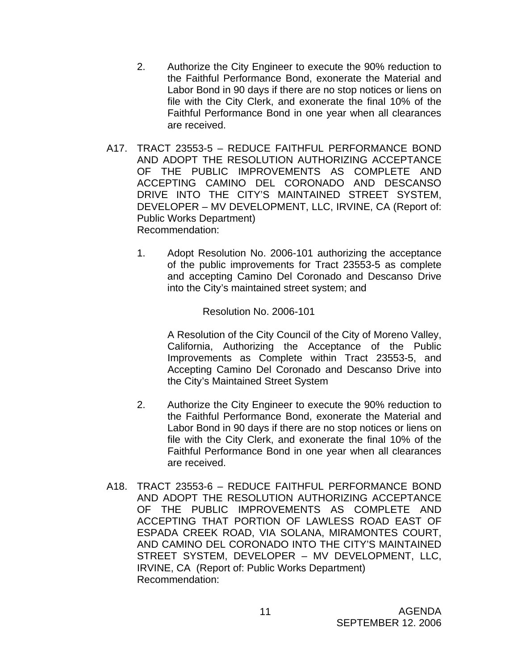- 2. Authorize the City Engineer to execute the 90% reduction to the Faithful Performance Bond, exonerate the Material and Labor Bond in 90 days if there are no stop notices or liens on file with the City Clerk, and exonerate the final 10% of the Faithful Performance Bond in one year when all clearances are received.
- A17. TRACT 23553-5 REDUCE FAITHFUL PERFORMANCE BOND AND ADOPT THE RESOLUTION AUTHORIZING ACCEPTANCE OF THE PUBLIC IMPROVEMENTS AS COMPLETE AND ACCEPTING CAMINO DEL CORONADO AND DESCANSO DRIVE INTO THE CITY'S MAINTAINED STREET SYSTEM, DEVELOPER – MV DEVELOPMENT, LLC, IRVINE, CA (Report of: Public Works Department) Recommendation:
	- 1. Adopt Resolution No. 2006-101 authorizing the acceptance of the public improvements for Tract 23553-5 as complete and accepting Camino Del Coronado and Descanso Drive into the City's maintained street system; and

Resolution No. 2006-101

A Resolution of the City Council of the City of Moreno Valley, California, Authorizing the Acceptance of the Public Improvements as Complete within Tract 23553-5, and Accepting Camino Del Coronado and Descanso Drive into the City's Maintained Street System

- 2. Authorize the City Engineer to execute the 90% reduction to the Faithful Performance Bond, exonerate the Material and Labor Bond in 90 days if there are no stop notices or liens on file with the City Clerk, and exonerate the final 10% of the Faithful Performance Bond in one year when all clearances are received.
- A18. TRACT 23553-6 REDUCE FAITHFUL PERFORMANCE BOND AND ADOPT THE RESOLUTION AUTHORIZING ACCEPTANCE OF THE PUBLIC IMPROVEMENTS AS COMPLETE AND ACCEPTING THAT PORTION OF LAWLESS ROAD EAST OF ESPADA CREEK ROAD, VIA SOLANA, MIRAMONTES COURT, AND CAMINO DEL CORONADO INTO THE CITY'S MAINTAINED STREET SYSTEM, DEVELOPER – MV DEVELOPMENT, LLC, IRVINE, CA (Report of: Public Works Department) Recommendation: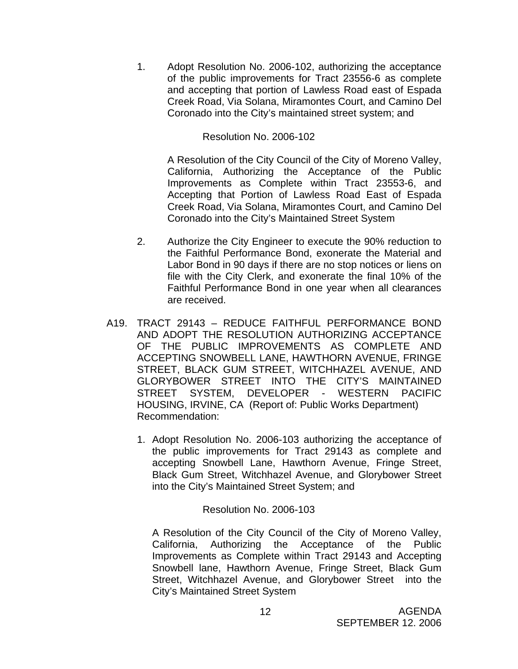1. Adopt Resolution No. 2006-102, authorizing the acceptance of the public improvements for Tract 23556-6 as complete and accepting that portion of Lawless Road east of Espada Creek Road, Via Solana, Miramontes Court, and Camino Del Coronado into the City's maintained street system; and

Resolution No. 2006-102

A Resolution of the City Council of the City of Moreno Valley, California, Authorizing the Acceptance of the Public Improvements as Complete within Tract 23553-6, and Accepting that Portion of Lawless Road East of Espada Creek Road, Via Solana, Miramontes Court, and Camino Del Coronado into the City's Maintained Street System

- 2. Authorize the City Engineer to execute the 90% reduction to the Faithful Performance Bond, exonerate the Material and Labor Bond in 90 days if there are no stop notices or liens on file with the City Clerk, and exonerate the final 10% of the Faithful Performance Bond in one year when all clearances are received.
- A19. TRACT 29143 REDUCE FAITHFUL PERFORMANCE BOND AND ADOPT THE RESOLUTION AUTHORIZING ACCEPTANCE OF THE PUBLIC IMPROVEMENTS AS COMPLETE AND ACCEPTING SNOWBELL LANE, HAWTHORN AVENUE, FRINGE STREET, BLACK GUM STREET, WITCHHAZEL AVENUE, AND GLORYBOWER STREET INTO THE CITY'S MAINTAINED STREET SYSTEM, DEVELOPER - WESTERN PACIFIC HOUSING, IRVINE, CA (Report of: Public Works Department) Recommendation:
	- 1. Adopt Resolution No. 2006-103 authorizing the acceptance of the public improvements for Tract 29143 as complete and accepting Snowbell Lane, Hawthorn Avenue, Fringe Street, Black Gum Street, Witchhazel Avenue, and Glorybower Street into the City's Maintained Street System; and

Resolution No. 2006-103

A Resolution of the City Council of the City of Moreno Valley, California, Authorizing the Acceptance of the Public Improvements as Complete within Tract 29143 and Accepting Snowbell lane, Hawthorn Avenue, Fringe Street, Black Gum Street, Witchhazel Avenue, and Glorybower Street into the City's Maintained Street System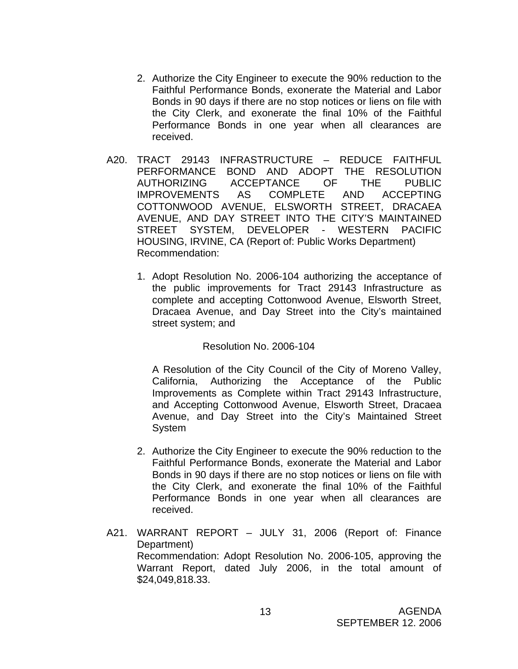- 2. Authorize the City Engineer to execute the 90% reduction to the Faithful Performance Bonds, exonerate the Material and Labor Bonds in 90 days if there are no stop notices or liens on file with the City Clerk, and exonerate the final 10% of the Faithful Performance Bonds in one year when all clearances are received.
- A20. TRACT 29143 INFRASTRUCTURE REDUCE FAITHFUL PERFORMANCE BOND AND ADOPT THE RESOLUTION AUTHORIZING ACCEPTANCE OF THE PUBLIC IMPROVEMENTS AS COMPLETE AND ACCEPTING COTTONWOOD AVENUE, ELSWORTH STREET, DRACAEA AVENUE, AND DAY STREET INTO THE CITY'S MAINTAINED STREET SYSTEM, DEVELOPER - WESTERN PACIFIC HOUSING, IRVINE, CA (Report of: Public Works Department) Recommendation:
	- 1. Adopt Resolution No. 2006-104 authorizing the acceptance of the public improvements for Tract 29143 Infrastructure as complete and accepting Cottonwood Avenue, Elsworth Street, Dracaea Avenue, and Day Street into the City's maintained street system; and

Resolution No. 2006-104

 A Resolution of the City Council of the City of Moreno Valley, California, Authorizing the Acceptance of the Public Improvements as Complete within Tract 29143 Infrastructure, and Accepting Cottonwood Avenue, Elsworth Street, Dracaea Avenue, and Day Street into the City's Maintained Street System

- 2. Authorize the City Engineer to execute the 90% reduction to the Faithful Performance Bonds, exonerate the Material and Labor Bonds in 90 days if there are no stop notices or liens on file with the City Clerk, and exonerate the final 10% of the Faithful Performance Bonds in one year when all clearances are received.
- A21. WARRANT REPORT JULY 31, 2006 (Report of: Finance Department) Recommendation: Adopt Resolution No. 2006-105, approving the Warrant Report, dated July 2006, in the total amount of \$24,049,818.33.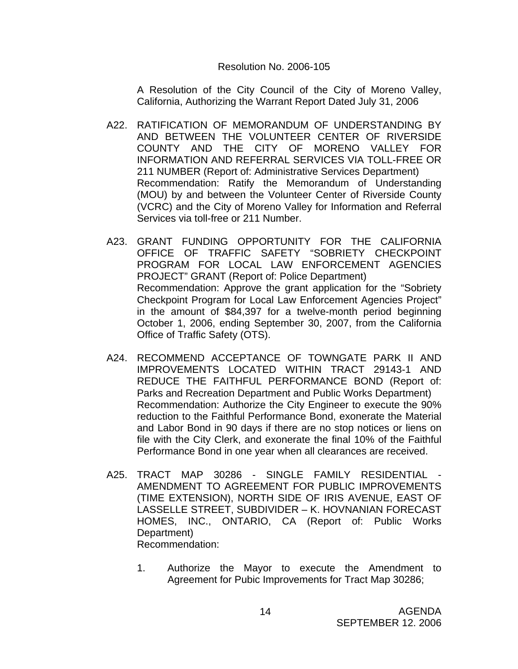#### Resolution No. 2006-105

A Resolution of the City Council of the City of Moreno Valley, California, Authorizing the Warrant Report Dated July 31, 2006

- A22. RATIFICATION OF MEMORANDUM OF UNDERSTANDING BY AND BETWEEN THE VOLUNTEER CENTER OF RIVERSIDE COUNTY AND THE CITY OF MORENO VALLEY FOR INFORMATION AND REFERRAL SERVICES VIA TOLL-FREE OR 211 NUMBER (Report of: Administrative Services Department) Recommendation: Ratify the Memorandum of Understanding (MOU) by and between the Volunteer Center of Riverside County (VCRC) and the City of Moreno Valley for Information and Referral Services via toll-free or 211 Number.
- A23. GRANT FUNDING OPPORTUNITY FOR THE CALIFORNIA OFFICE OF TRAFFIC SAFETY "SOBRIETY CHECKPOINT PROGRAM FOR LOCAL LAW ENFORCEMENT AGENCIES PROJECT" GRANT (Report of: Police Department) Recommendation: Approve the grant application for the "Sobriety Checkpoint Program for Local Law Enforcement Agencies Project" in the amount of \$84,397 for a twelve-month period beginning October 1, 2006, ending September 30, 2007, from the California Office of Traffic Safety (OTS).
- A24. RECOMMEND ACCEPTANCE OF TOWNGATE PARK II AND IMPROVEMENTS LOCATED WITHIN TRACT 29143-1 AND REDUCE THE FAITHFUL PERFORMANCE BOND (Report of: Parks and Recreation Department and Public Works Department) Recommendation: Authorize the City Engineer to execute the 90% reduction to the Faithful Performance Bond, exonerate the Material and Labor Bond in 90 days if there are no stop notices or liens on file with the City Clerk, and exonerate the final 10% of the Faithful Performance Bond in one year when all clearances are received.
- A25. TRACT MAP 30286 SINGLE FAMILY RESIDENTIAL AMENDMENT TO AGREEMENT FOR PUBLIC IMPROVEMENTS (TIME EXTENSION), NORTH SIDE OF IRIS AVENUE, EAST OF LASSELLE STREET, SUBDIVIDER – K. HOVNANIAN FORECAST HOMES, INC., ONTARIO, CA (Report of: Public Works Department) Recommendation:
	- 1. Authorize the Mayor to execute the Amendment to Agreement for Pubic Improvements for Tract Map 30286;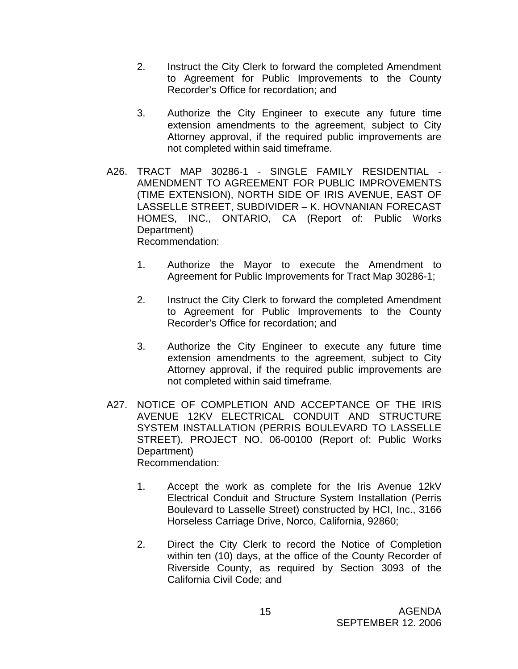- 2. Instruct the City Clerk to forward the completed Amendment to Agreement for Public Improvements to the County Recorder's Office for recordation; and
- 3. Authorize the City Engineer to execute any future time extension amendments to the agreement, subject to City Attorney approval, if the required public improvements are not completed within said timeframe.
- A26. TRACT MAP 30286-1 SINGLE FAMILY RESIDENTIAL AMENDMENT TO AGREEMENT FOR PUBLIC IMPROVEMENTS (TIME EXTENSION), NORTH SIDE OF IRIS AVENUE, EAST OF LASSELLE STREET, SUBDIVIDER – K. HOVNANIAN FORECAST HOMES, INC., ONTARIO, CA (Report of: Public Works Department) Recommendation:
	- 1. Authorize the Mayor to execute the Amendment to Agreement for Public Improvements for Tract Map 30286-1;
	- 2. Instruct the City Clerk to forward the completed Amendment to Agreement for Public Improvements to the County Recorder's Office for recordation; and
	- 3. Authorize the City Engineer to execute any future time extension amendments to the agreement, subject to City Attorney approval, if the required public improvements are not completed within said timeframe.
- A27. NOTICE OF COMPLETION AND ACCEPTANCE OF THE IRIS AVENUE 12KV ELECTRICAL CONDUIT AND STRUCTURE SYSTEM INSTALLATION (PERRIS BOULEVARD TO LASSELLE STREET), PROJECT NO. 06-00100 (Report of: Public Works Department) Recommendation:
	- 1. Accept the work as complete for the Iris Avenue 12kV Electrical Conduit and Structure System Installation (Perris Boulevard to Lasselle Street) constructed by HCI, Inc., 3166 Horseless Carriage Drive, Norco, California, 92860;
	- 2. Direct the City Clerk to record the Notice of Completion within ten (10) days, at the office of the County Recorder of Riverside County, as required by Section 3093 of the California Civil Code; and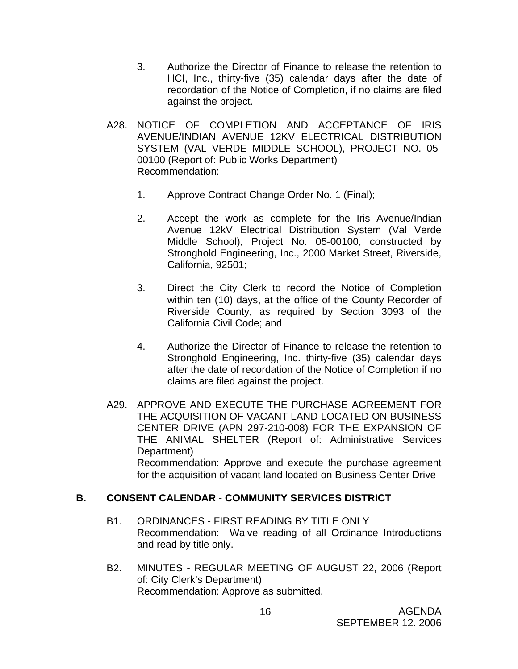- 3. Authorize the Director of Finance to release the retention to HCI, Inc., thirty-five (35) calendar days after the date of recordation of the Notice of Completion, if no claims are filed against the project.
- A28. NOTICE OF COMPLETION AND ACCEPTANCE OF IRIS AVENUE/INDIAN AVENUE 12KV ELECTRICAL DISTRIBUTION SYSTEM (VAL VERDE MIDDLE SCHOOL), PROJECT NO. 05- 00100 (Report of: Public Works Department) Recommendation:
	- 1. Approve Contract Change Order No. 1 (Final);
	- 2. Accept the work as complete for the Iris Avenue/Indian Avenue 12kV Electrical Distribution System (Val Verde Middle School), Project No. 05-00100, constructed by Stronghold Engineering, Inc., 2000 Market Street, Riverside, California, 92501;
	- 3. Direct the City Clerk to record the Notice of Completion within ten (10) days, at the office of the County Recorder of Riverside County, as required by Section 3093 of the California Civil Code; and
	- 4. Authorize the Director of Finance to release the retention to Stronghold Engineering, Inc. thirty-five (35) calendar days after the date of recordation of the Notice of Completion if no claims are filed against the project.
- A29. APPROVE AND EXECUTE THE PURCHASE AGREEMENT FOR THE ACQUISITION OF VACANT LAND LOCATED ON BUSINESS CENTER DRIVE (APN 297-210-008) FOR THE EXPANSION OF THE ANIMAL SHELTER (Report of: Administrative Services Department) Recommendation: Approve and execute the purchase agreement for the acquisition of vacant land located on Business Center Drive

## **B. CONSENT CALENDAR** - **COMMUNITY SERVICES DISTRICT**

- B1. ORDINANCES FIRST READING BY TITLE ONLY Recommendation: Waive reading of all Ordinance Introductions and read by title only.
- B2. MINUTES REGULAR MEETING OF AUGUST 22, 2006 (Report of: City Clerk's Department) Recommendation: Approve as submitted.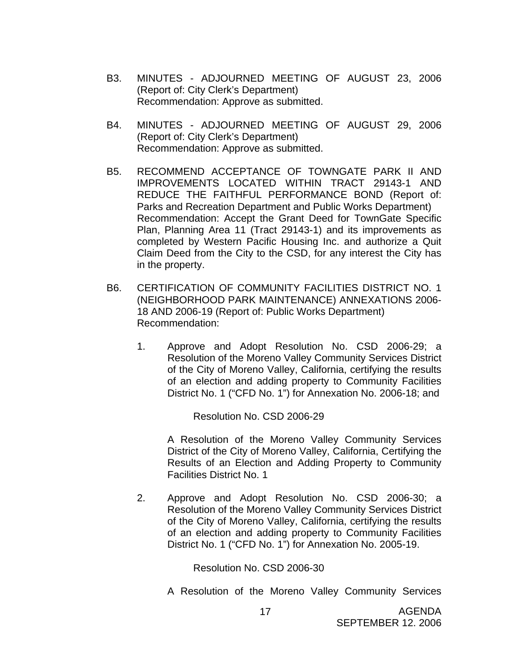- B3. MINUTES ADJOURNED MEETING OF AUGUST 23, 2006 (Report of: City Clerk's Department) Recommendation: Approve as submitted.
- B4. MINUTES ADJOURNED MEETING OF AUGUST 29, 2006 (Report of: City Clerk's Department) Recommendation: Approve as submitted.
- B5. RECOMMEND ACCEPTANCE OF TOWNGATE PARK II AND IMPROVEMENTS LOCATED WITHIN TRACT 29143-1 AND REDUCE THE FAITHFUL PERFORMANCE BOND (Report of: Parks and Recreation Department and Public Works Department) Recommendation: Accept the Grant Deed for TownGate Specific Plan, Planning Area 11 (Tract 29143-1) and its improvements as completed by Western Pacific Housing Inc. and authorize a Quit Claim Deed from the City to the CSD, for any interest the City has in the property.
- B6. CERTIFICATION OF COMMUNITY FACILITIES DISTRICT NO. 1 (NEIGHBORHOOD PARK MAINTENANCE) ANNEXATIONS 2006- 18 AND 2006-19 (Report of: Public Works Department) Recommendation:
	- 1. Approve and Adopt Resolution No. CSD 2006-29; a Resolution of the Moreno Valley Community Services District of the City of Moreno Valley, California, certifying the results of an election and adding property to Community Facilities District No. 1 ("CFD No. 1") for Annexation No. 2006-18; and

Resolution No. CSD 2006-29

A Resolution of the Moreno Valley Community Services District of the City of Moreno Valley, California, Certifying the Results of an Election and Adding Property to Community Facilities District No. 1

2. Approve and Adopt Resolution No. CSD 2006-30; a Resolution of the Moreno Valley Community Services District of the City of Moreno Valley, California, certifying the results of an election and adding property to Community Facilities District No. 1 ("CFD No. 1") for Annexation No. 2005-19.

Resolution No. CSD 2006-30

A Resolution of the Moreno Valley Community Services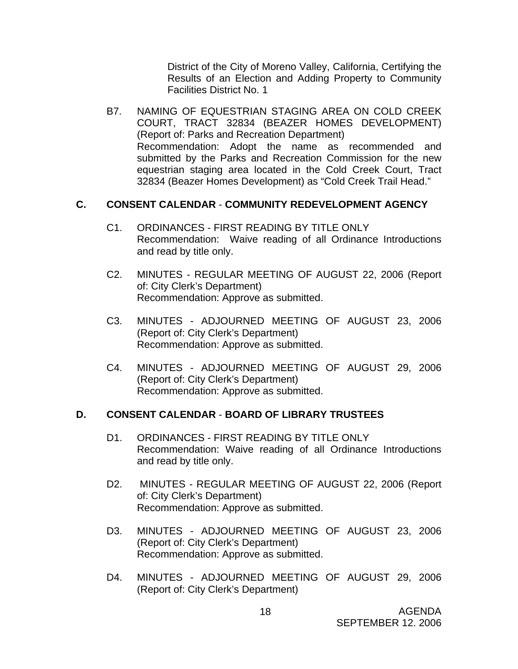District of the City of Moreno Valley, California, Certifying the Results of an Election and Adding Property to Community Facilities District No. 1

B7. NAMING OF EQUESTRIAN STAGING AREA ON COLD CREEK COURT, TRACT 32834 (BEAZER HOMES DEVELOPMENT) (Report of: Parks and Recreation Department) Recommendation: Adopt the name as recommended and submitted by the Parks and Recreation Commission for the new equestrian staging area located in the Cold Creek Court, Tract 32834 (Beazer Homes Development) as "Cold Creek Trail Head."

## **C. CONSENT CALENDAR** - **COMMUNITY REDEVELOPMENT AGENCY**

- C1. ORDINANCES FIRST READING BY TITLE ONLY Recommendation: Waive reading of all Ordinance Introductions and read by title only.
- C2. MINUTES REGULAR MEETING OF AUGUST 22, 2006 (Report of: City Clerk's Department) Recommendation: Approve as submitted.
- C3. MINUTES ADJOURNED MEETING OF AUGUST 23, 2006 (Report of: City Clerk's Department) Recommendation: Approve as submitted.
- C4. MINUTES ADJOURNED MEETING OF AUGUST 29, 2006 (Report of: City Clerk's Department) Recommendation: Approve as submitted.

## **D. CONSENT CALENDAR** - **BOARD OF LIBRARY TRUSTEES**

- D1. ORDINANCES FIRST READING BY TITLE ONLY Recommendation: Waive reading of all Ordinance Introductions and read by title only.
- D2. MINUTES REGULAR MEETING OF AUGUST 22, 2006 (Report of: City Clerk's Department) Recommendation: Approve as submitted.
- D3. MINUTES ADJOURNED MEETING OF AUGUST 23, 2006 (Report of: City Clerk's Department) Recommendation: Approve as submitted.
- D4. MINUTES ADJOURNED MEETING OF AUGUST 29, 2006 (Report of: City Clerk's Department)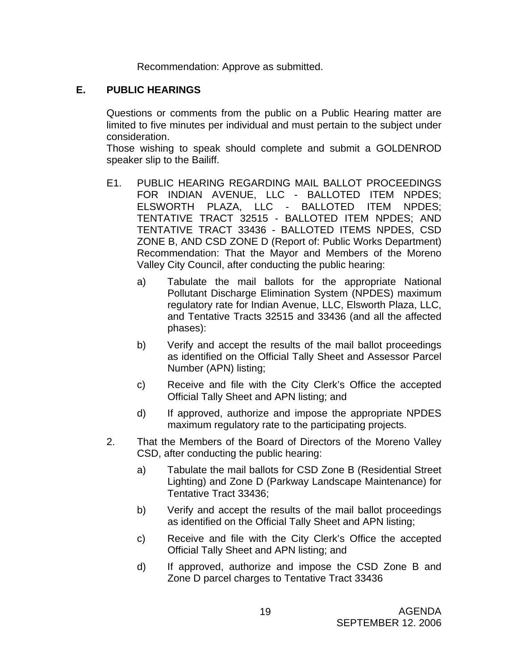Recommendation: Approve as submitted.

### **E. PUBLIC HEARINGS**

Questions or comments from the public on a Public Hearing matter are limited to five minutes per individual and must pertain to the subject under consideration.

 Those wishing to speak should complete and submit a GOLDENROD speaker slip to the Bailiff.

- E1. PUBLIC HEARING REGARDING MAIL BALLOT PROCEEDINGS FOR INDIAN AVENUE, LLC - BALLOTED ITEM NPDES; ELSWORTH PLAZA, LLC - BALLOTED ITEM NPDES; TENTATIVE TRACT 32515 - BALLOTED ITEM NPDES; AND TENTATIVE TRACT 33436 - BALLOTED ITEMS NPDES, CSD ZONE B, AND CSD ZONE D (Report of: Public Works Department) Recommendation: That the Mayor and Members of the Moreno Valley City Council, after conducting the public hearing:
	- a) Tabulate the mail ballots for the appropriate National Pollutant Discharge Elimination System (NPDES) maximum regulatory rate for Indian Avenue, LLC, Elsworth Plaza, LLC, and Tentative Tracts 32515 and 33436 (and all the affected phases):
	- b) Verify and accept the results of the mail ballot proceedings as identified on the Official Tally Sheet and Assessor Parcel Number (APN) listing;
	- c) Receive and file with the City Clerk's Office the accepted Official Tally Sheet and APN listing; and
	- d) If approved, authorize and impose the appropriate NPDES maximum regulatory rate to the participating projects.
- 2. That the Members of the Board of Directors of the Moreno Valley CSD, after conducting the public hearing:
	- a) Tabulate the mail ballots for CSD Zone B (Residential Street Lighting) and Zone D (Parkway Landscape Maintenance) for Tentative Tract 33436;
	- b) Verify and accept the results of the mail ballot proceedings as identified on the Official Tally Sheet and APN listing;
	- c) Receive and file with the City Clerk's Office the accepted Official Tally Sheet and APN listing; and
	- d) If approved, authorize and impose the CSD Zone B and Zone D parcel charges to Tentative Tract 33436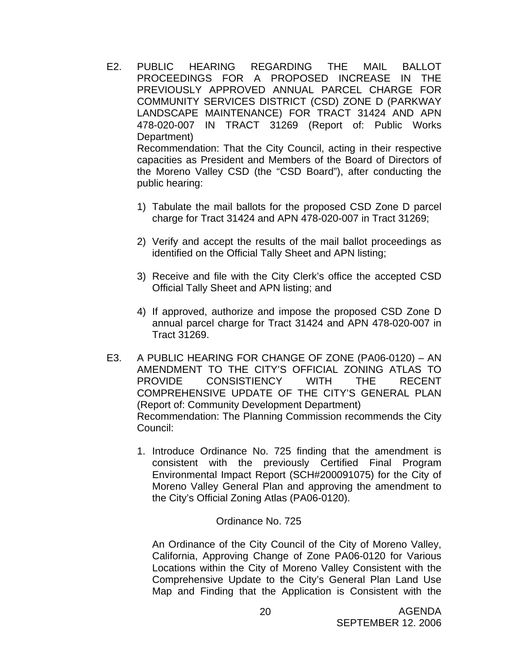- E2. PUBLIC HEARING REGARDING THE MAIL BALLOT PROCEEDINGS FOR A PROPOSED INCREASE IN THE PREVIOUSLY APPROVED ANNUAL PARCEL CHARGE FOR COMMUNITY SERVICES DISTRICT (CSD) ZONE D (PARKWAY LANDSCAPE MAINTENANCE) FOR TRACT 31424 AND APN 478-020-007 IN TRACT 31269 (Report of: Public Works Department) Recommendation: That the City Council, acting in their respective capacities as President and Members of the Board of Directors of the Moreno Valley CSD (the "CSD Board"), after conducting the public hearing:
	- 1) Tabulate the mail ballots for the proposed CSD Zone D parcel charge for Tract 31424 and APN 478-020-007 in Tract 31269;
	- 2) Verify and accept the results of the mail ballot proceedings as identified on the Official Tally Sheet and APN listing;
	- 3) Receive and file with the City Clerk's office the accepted CSD Official Tally Sheet and APN listing; and
	- 4) If approved, authorize and impose the proposed CSD Zone D annual parcel charge for Tract 31424 and APN 478-020-007 in Tract 31269.
- E3. A PUBLIC HEARING FOR CHANGE OF ZONE (PA06-0120) AN AMENDMENT TO THE CITY'S OFFICIAL ZONING ATLAS TO PROVIDE CONSISTIENCY WITH THE RECENT COMPREHENSIVE UPDATE OF THE CITY'S GENERAL PLAN (Report of: Community Development Department) Recommendation: The Planning Commission recommends the City Council:
	- 1. Introduce Ordinance No. 725 finding that the amendment is consistent with the previously Certified Final Program Environmental Impact Report (SCH#200091075) for the City of Moreno Valley General Plan and approving the amendment to the City's Official Zoning Atlas (PA06-0120).

#### Ordinance No. 725

An Ordinance of the City Council of the City of Moreno Valley, California, Approving Change of Zone PA06-0120 for Various Locations within the City of Moreno Valley Consistent with the Comprehensive Update to the City's General Plan Land Use Map and Finding that the Application is Consistent with the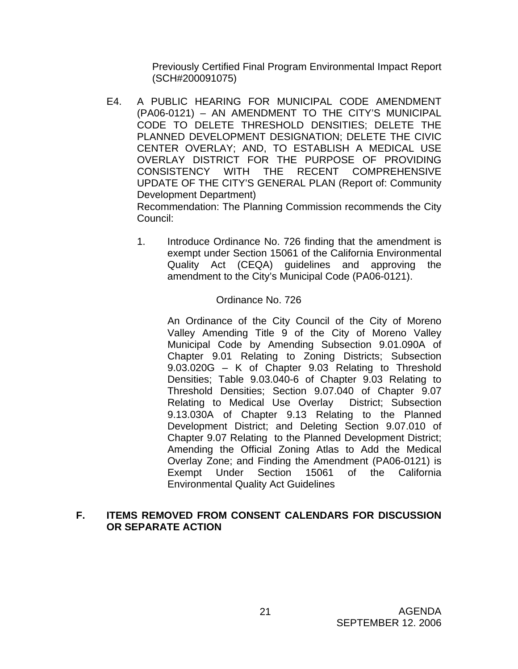Previously Certified Final Program Environmental Impact Report (SCH#200091075)

- E4. A PUBLIC HEARING FOR MUNICIPAL CODE AMENDMENT (PA06-0121) – AN AMENDMENT TO THE CITY'S MUNICIPAL CODE TO DELETE THRESHOLD DENSITIES; DELETE THE PLANNED DEVELOPMENT DESIGNATION; DELETE THE CIVIC CENTER OVERLAY; AND, TO ESTABLISH A MEDICAL USE OVERLAY DISTRICT FOR THE PURPOSE OF PROVIDING CONSISTENCY WITH THE RECENT COMPREHENSIVE UPDATE OF THE CITY'S GENERAL PLAN (Report of: Community Development Department) Recommendation: The Planning Commission recommends the City Council:
	- 1. Introduce Ordinance No. 726 finding that the amendment is exempt under Section 15061 of the California Environmental Quality Act (CEQA) guidelines and approving the amendment to the City's Municipal Code (PA06-0121).

### Ordinance No. 726

An Ordinance of the City Council of the City of Moreno Valley Amending Title 9 of the City of Moreno Valley Municipal Code by Amending Subsection 9.01.090A of Chapter 9.01 Relating to Zoning Districts; Subsection 9.03.020G – K of Chapter 9.03 Relating to Threshold Densities; Table 9.03.040-6 of Chapter 9.03 Relating to Threshold Densities; Section 9.07.040 of Chapter 9.07 Relating to Medical Use Overlay District; Subsection 9.13.030A of Chapter 9.13 Relating to the Planned Development District; and Deleting Section 9.07.010 of Chapter 9.07 Relating to the Planned Development District; Amending the Official Zoning Atlas to Add the Medical Overlay Zone; and Finding the Amendment (PA06-0121) is Exempt Under Section 15061 of the California Environmental Quality Act Guidelines

### **F. ITEMS REMOVED FROM CONSENT CALENDARS FOR DISCUSSION OR SEPARATE ACTION**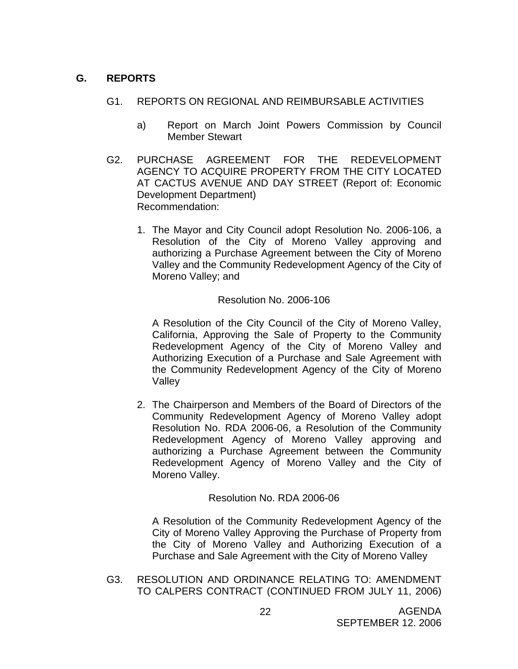## **G. REPORTS**

- G1. REPORTS ON REGIONAL AND REIMBURSABLE ACTIVITIES
	- a) Report on March Joint Powers Commission by Council Member Stewart
- G2. PURCHASE AGREEMENT FOR THE REDEVELOPMENT AGENCY TO ACQUIRE PROPERTY FROM THE CITY LOCATED AT CACTUS AVENUE AND DAY STREET (Report of: Economic Development Department) Recommendation:
	- 1. The Mayor and City Council adopt Resolution No. 2006-106, a Resolution of the City of Moreno Valley approving and authorizing a Purchase Agreement between the City of Moreno Valley and the Community Redevelopment Agency of the City of Moreno Valley; and

### Resolution No. 2006-106

A Resolution of the City Council of the City of Moreno Valley, California, Approving the Sale of Property to the Community Redevelopment Agency of the City of Moreno Valley and Authorizing Execution of a Purchase and Sale Agreement with the Community Redevelopment Agency of the City of Moreno Valley

2. The Chairperson and Members of the Board of Directors of the Community Redevelopment Agency of Moreno Valley adopt Resolution No. RDA 2006-06, a Resolution of the Community Redevelopment Agency of Moreno Valley approving and authorizing a Purchase Agreement between the Community Redevelopment Agency of Moreno Valley and the City of Moreno Valley.

### Resolution No. RDA 2006-06

A Resolution of the Community Redevelopment Agency of the City of Moreno Valley Approving the Purchase of Property from the City of Moreno Valley and Authorizing Execution of a Purchase and Sale Agreement with the City of Moreno Valley

G3. RESOLUTION AND ORDINANCE RELATING TO: AMENDMENT TO CALPERS CONTRACT (CONTINUED FROM JULY 11, 2006)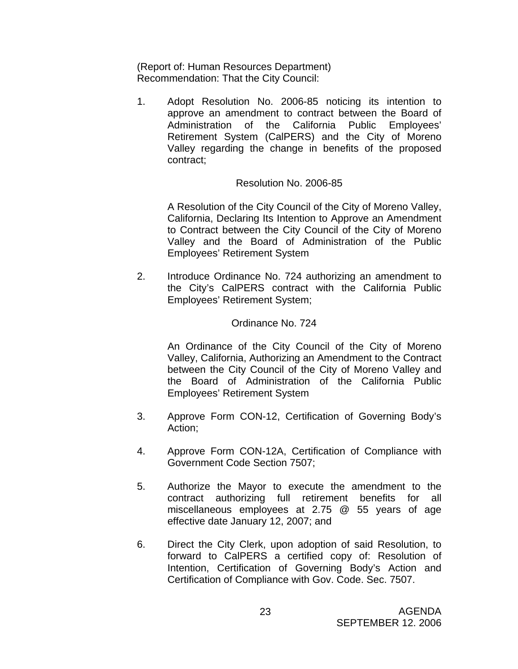(Report of: Human Resources Department) Recommendation: That the City Council:

1. Adopt Resolution No. 2006-85 noticing its intention to approve an amendment to contract between the Board of Administration of the California Public Employees' Retirement System (CalPERS) and the City of Moreno Valley regarding the change in benefits of the proposed contract;

#### Resolution No. 2006-85

A Resolution of the City Council of the City of Moreno Valley, California, Declaring Its Intention to Approve an Amendment to Contract between the City Council of the City of Moreno Valley and the Board of Administration of the Public Employees' Retirement System

2. Introduce Ordinance No. 724 authorizing an amendment to the City's CalPERS contract with the California Public Employees' Retirement System;

#### Ordinance No. 724

An Ordinance of the City Council of the City of Moreno Valley, California, Authorizing an Amendment to the Contract between the City Council of the City of Moreno Valley and the Board of Administration of the California Public Employees' Retirement System

- 3. Approve Form CON-12, Certification of Governing Body's Action;
- 4. Approve Form CON-12A, Certification of Compliance with Government Code Section 7507;
- 5. Authorize the Mayor to execute the amendment to the contract authorizing full retirement benefits for all miscellaneous employees at 2.75 @ 55 years of age effective date January 12, 2007; and
- 6. Direct the City Clerk, upon adoption of said Resolution, to forward to CalPERS a certified copy of: Resolution of Intention, Certification of Governing Body's Action and Certification of Compliance with Gov. Code. Sec. 7507.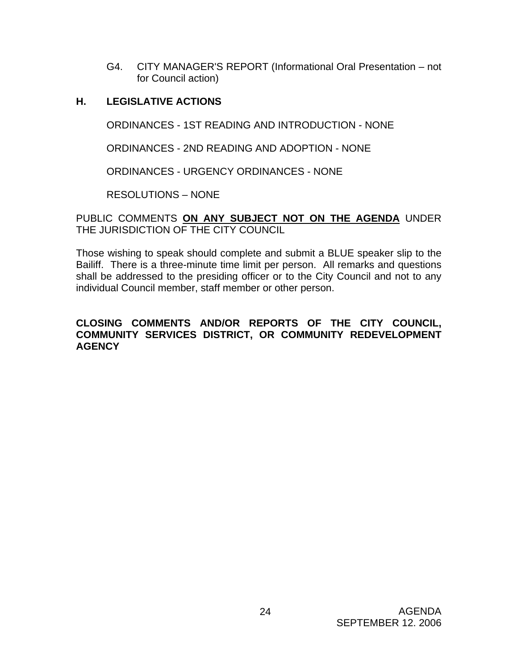G4. CITY MANAGER'S REPORT (Informational Oral Presentation – not for Council action)

### **H. LEGISLATIVE ACTIONS**

ORDINANCES - 1ST READING AND INTRODUCTION - NONE

ORDINANCES - 2ND READING AND ADOPTION - NONE

ORDINANCES - URGENCY ORDINANCES - NONE

RESOLUTIONS – NONE

PUBLIC COMMENTS **ON ANY SUBJECT NOT ON THE AGENDA** UNDER THE JURISDICTION OF THE CITY COUNCIL

Those wishing to speak should complete and submit a BLUE speaker slip to the Bailiff. There is a three-minute time limit per person. All remarks and questions shall be addressed to the presiding officer or to the City Council and not to any individual Council member, staff member or other person.

#### **CLOSING COMMENTS AND/OR REPORTS OF THE CITY COUNCIL, COMMUNITY SERVICES DISTRICT, OR COMMUNITY REDEVELOPMENT AGENCY**